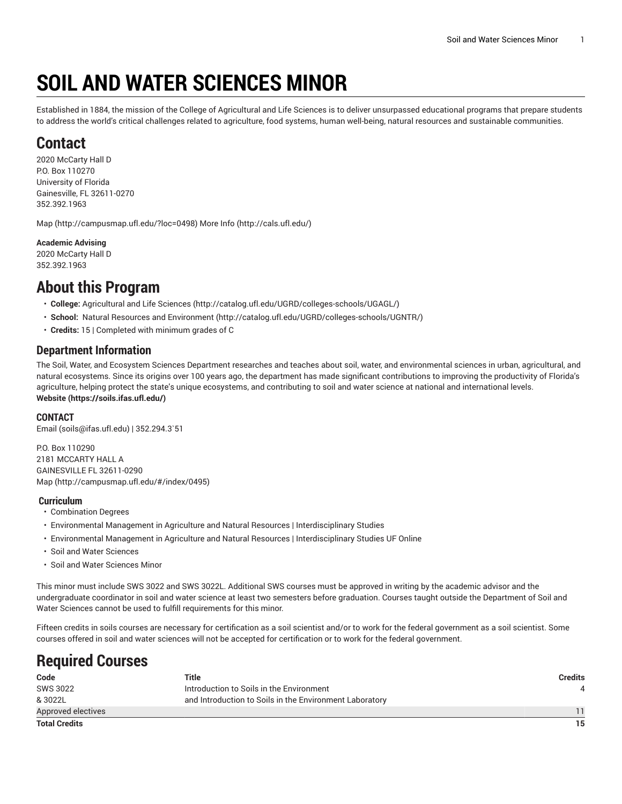# **SOIL AND WATER SCIENCES MINOR**

Established in 1884, the mission of the College of Agricultural and Life Sciences is to deliver unsurpassed educational programs that prepare students to address the world's critical challenges related to agriculture, food systems, human well-being, natural resources and sustainable communities.

### **Contact**

2020 McCarty Hall D P.O. Box 110270 University of Florida Gainesville, FL 32611-0270 352.392.1963

[Map](http://campusmap.ufl.edu/?loc=0498) ([http://campusmap.ufl.edu/?loc=0498\)](http://campusmap.ufl.edu/?loc=0498) [More](http://cals.ufl.edu/) Info (<http://cals.ufl.edu/>)

**Academic Advising** 2020 McCarty Hall D

352.392.1963

### **About this Program**

- **College:** [Agricultural](http://catalog.ufl.edu/UGRD/colleges-schools/UGAGL/) and Life Sciences ([http://catalog.ufl.edu/UGRD/colleges-schools/UGAGL/\)](http://catalog.ufl.edu/UGRD/colleges-schools/UGAGL/)
- **School:** Natural Resources and [Environment \(http://catalog.ufl.edu/UGRD/colleges-schools/UGNTR/\)](http://catalog.ufl.edu/UGRD/colleges-schools/UGNTR/)
- **Credits:** 15 | Completed with minimum grades of C

#### **Department Information**

The Soil, Water, and Ecosystem Sciences Department researches and teaches about soil, water, and environmental sciences in urban, agricultural, and natural ecosystems. Since its origins over 100 years ago, the department has made significant contributions to improving the productivity of Florida's agriculture, helping protect the state's unique ecosystems, and contributing to soil and water science at national and international levels. **[Website](https://soils.ifas.ufl.edu/) ([https://soils.ifas.ufl.edu/\)](https://soils.ifas.ufl.edu/)**

#### **CONTACT**

[Email](mailto:soils@ifas.ufl.edu) (<soils@ifas.ufl.edu>) | 352.294.3`51

P.O. Box 110290 2181 MCCARTY HALL A GAINESVILLE FL 32611-0290 [Map](http://campusmap.ufl.edu/#/index/0495) ([http://campusmap.ufl.edu/#/index/0495\)](http://campusmap.ufl.edu/#/index/0495)

#### **Curriculum**

- Combination Degrees
- Environmental Management in Agriculture and Natural Resources | Interdisciplinary Studies
- Environmental Management in Agriculture and Natural Resources | Interdisciplinary Studies UF Online
- Soil and Water Sciences
- Soil and Water Sciences Minor

This minor must include SWS 3022 and SWS 3022L. Additional SWS courses must be approved in writing by the academic advisor and the undergraduate coordinator in soil and water science at least two semesters before graduation. Courses taught outside the Department of Soil and Water Sciences cannot be used to fulfill requirements for this minor.

Fifteen credits in soils courses are necessary for certification as a soil scientist and/or to work for the federal government as a soil scientist. Some courses offered in soil and water sciences will not be accepted for certification or to work for the federal government.

### **Required Courses**

| Code                 | Title                                                   | <b>Credits</b> |
|----------------------|---------------------------------------------------------|----------------|
| SWS 3022             | Introduction to Soils in the Environment                | 4              |
| & 3022L              | and Introduction to Soils in the Environment Laboratory |                |
| Approved electives   |                                                         | 11             |
| <b>Total Credits</b> |                                                         | 15             |